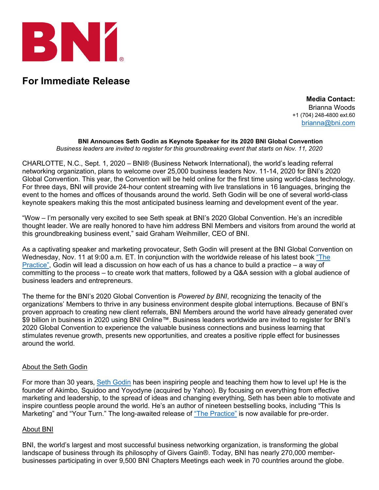

## **For Immediate Release**

**Media Contact:** Brianna Woods +1 (704) 248-4800 ext.60 [brianna@bni.com](mailto:brianna@bni.com)

## **BNI Announces Seth Godin as Keynote Speaker for its 2020 BNI Global Convention**

*Business leaders are invited to register for this groundbreaking event that starts on Nov. 11, 2020*

CHARLOTTE, N.C., Sept. 1, 2020 – BNI® (Business Network International), the world's leading referral networking organization, plans to welcome over 25,000 business leaders Nov. 11-14, 2020 for BNI's 2020 Global Convention. This year, the Convention will be held online for the first time using world-class technology. For three days, BNI will provide 24-hour content streaming with live translations in 16 languages, bringing the event to the homes and offices of thousands around the world. Seth Godin will be one of several world-class keynote speakers making this the most anticipated business learning and development event of the year.

"Wow – I'm personally very excited to see Seth speak at BNI's 2020 Global Convention. He's an incredible thought leader. We are really honored to have him address BNI Members and visitors from around the world at this groundbreaking business event," said Graham Weihmiller, CEO of BNI.

As a captivating speaker and marketing provocateur, Seth Godin will present at the BNI Global Convention on Wednesday, Nov. 11 at 9:00 a.m. ET. In conjunction with the worldwide release of his latest book ["The](https://seths.blog/ThePractice/)  [Practice",](https://seths.blog/ThePractice/) Godin will lead a discussion on how each of us has a chance to build a practice – a way of committing to the process – to create work that matters, followed by a Q&A session with a global audience of business leaders and entrepreneurs.

The theme for the BNI's 2020 Global Convention is *Powered by BNI*, recognizing the tenacity of the organizations' Members to thrive in any business environment despite global interruptions. Because of BNI's proven approach to creating new client referrals, BNI Members around the world have already generated over \$9 billion in business in 2020 using BNI Online™. Business leaders worldwide are invited to register for BNI's 2020 Global Convention to experience the valuable business connections and business learning that stimulates revenue growth, presents new opportunities, and creates a positive ripple effect for businesses around the world.

## About the Seth Godin

For more than 30 years, [Seth Godin](https://seths.blog/ThePractice/) has been inspiring people and teaching them how to level up! He is the founder of Akimbo, Squidoo and Yoyodyne (acquired by Yahoo). By focusing on everything from effective marketing and leadership, to the spread of ideas and changing everything, Seth has been able to motivate and inspire countless people around the world. He's an author of nineteen bestselling books, including "This Is Marketing" and "Your Turn." The long-awaited release of ["The Practice"](https://seths.blog/ThePractice/) is now available for pre-order.

## About BNI

BNI, the world's largest and most successful business networking organization, is transforming the global landscape of business through its philosophy of Givers Gain®. Today, BNI has nearly 270,000 memberbusinesses participating in over 9,500 BNI Chapters Meetings each week in 70 countries around the globe.